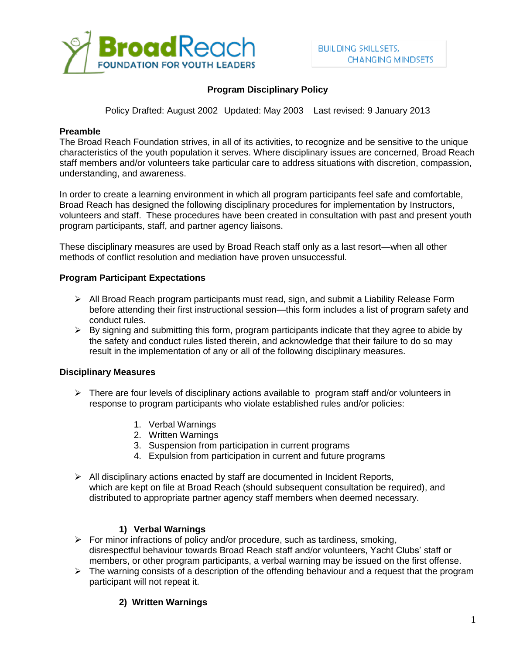

## **Program Disciplinary Policy**

Policy Drafted: August 2002 Updated: May 2003 Last revised: 9 January 2013

#### **Preamble**

The Broad Reach Foundation strives, in all of its activities, to recognize and be sensitive to the unique characteristics of the youth population it serves. Where disciplinary issues are concerned, Broad Reach staff members and/or volunteers take particular care to address situations with discretion, compassion, understanding, and awareness.

In order to create a learning environment in which all program participants feel safe and comfortable, Broad Reach has designed the following disciplinary procedures for implementation by Instructors, volunteers and staff. These procedures have been created in consultation with past and present youth program participants, staff, and partner agency liaisons.

These disciplinary measures are used by Broad Reach staff only as a last resort—when all other methods of conflict resolution and mediation have proven unsuccessful.

#### **Program Participant Expectations**

- $\triangleright$  All Broad Reach program participants must read, sign, and submit a Liability Release Form before attending their first instructional session—this form includes a list of program safety and conduct rules.
- $\triangleright$  By signing and submitting this form, program participants indicate that they agree to abide by the safety and conduct rules listed therein, and acknowledge that their failure to do so may result in the implementation of any or all of the following disciplinary measures.

#### **Disciplinary Measures**

- $\triangleright$  There are four levels of disciplinary actions available to program staff and/or volunteers in response to program participants who violate established rules and/or policies:
	- 1. Verbal Warnings
	- 2. Written Warnings
	- 3. Suspension from participation in current programs
	- 4. Expulsion from participation in current and future programs
- $\triangleright$  All disciplinary actions enacted by staff are documented in Incident Reports, which are kept on file at Broad Reach (should subsequent consultation be required), and distributed to appropriate partner agency staff members when deemed necessary.

#### **1) Verbal Warnings**

- $\triangleright$  For minor infractions of policy and/or procedure, such as tardiness, smoking, disrespectful behaviour towards Broad Reach staff and/or volunteers, Yacht Clubs' staff or members, or other program participants, a verbal warning may be issued on the first offense.
- $\triangleright$  The warning consists of a description of the offending behaviour and a request that the program participant will not repeat it.

## **2) Written Warnings**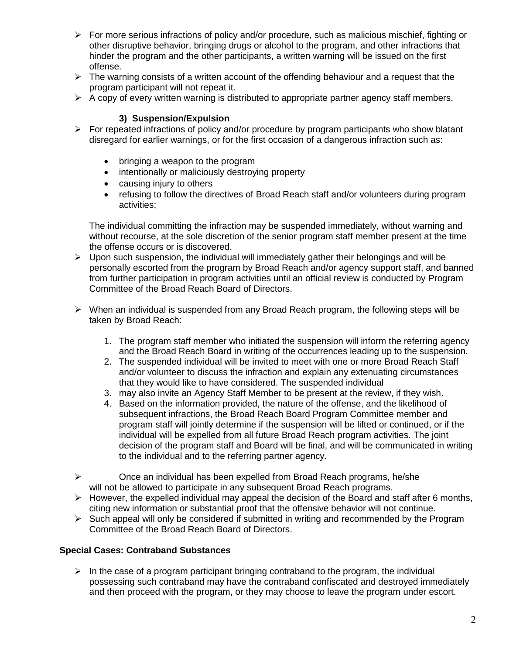- $\triangleright$  For more serious infractions of policy and/or procedure, such as malicious mischief, fighting or other disruptive behavior, bringing drugs or alcohol to the program, and other infractions that hinder the program and the other participants, a written warning will be issued on the first offense.
- $\triangleright$  The warning consists of a written account of the offending behaviour and a request that the program participant will not repeat it.
- $\triangleright$  A copy of every written warning is distributed to appropriate partner agency staff members.

## **3) Suspension/Expulsion**

- $\triangleright$  For repeated infractions of policy and/or procedure by program participants who show blatant disregard for earlier warnings, or for the first occasion of a dangerous infraction such as:
	- bringing a weapon to the program
	- intentionally or maliciously destroying property
	- causing injury to others
	- refusing to follow the directives of Broad Reach staff and/or volunteers during program activities;

The individual committing the infraction may be suspended immediately, without warning and without recourse, at the sole discretion of the senior program staff member present at the time the offense occurs or is discovered.

- $\triangleright$  Upon such suspension, the individual will immediately gather their belongings and will be personally escorted from the program by Broad Reach and/or agency support staff, and banned from further participation in program activities until an official review is conducted by Program Committee of the Broad Reach Board of Directors.
- $\triangleright$  When an individual is suspended from any Broad Reach program, the following steps will be taken by Broad Reach:
	- 1. The program staff member who initiated the suspension will inform the referring agency and the Broad Reach Board in writing of the occurrences leading up to the suspension.
	- 2. The suspended individual will be invited to meet with one or more Broad Reach Staff and/or volunteer to discuss the infraction and explain any extenuating circumstances that they would like to have considered. The suspended individual
	- 3. may also invite an Agency Staff Member to be present at the review, if they wish.
	- 4. Based on the information provided, the nature of the offense, and the likelihood of subsequent infractions, the Broad Reach Board Program Committee member and program staff will jointly determine if the suspension will be lifted or continued, or if the individual will be expelled from all future Broad Reach program activities. The joint decision of the program staff and Board will be final, and will be communicated in writing to the individual and to the referring partner agency.
- $\triangleright$  Once an individual has been expelled from Broad Reach programs, he/she will not be allowed to participate in any subsequent Broad Reach programs.
- $\triangleright$  However, the expelled individual may appeal the decision of the Board and staff after 6 months, citing new information or substantial proof that the offensive behavior will not continue.
- $\triangleright$  Such appeal will only be considered if submitted in writing and recommended by the Program Committee of the Broad Reach Board of Directors.

#### **Special Cases: Contraband Substances**

 $\triangleright$  In the case of a program participant bringing contraband to the program, the individual possessing such contraband may have the contraband confiscated and destroyed immediately and then proceed with the program, or they may choose to leave the program under escort.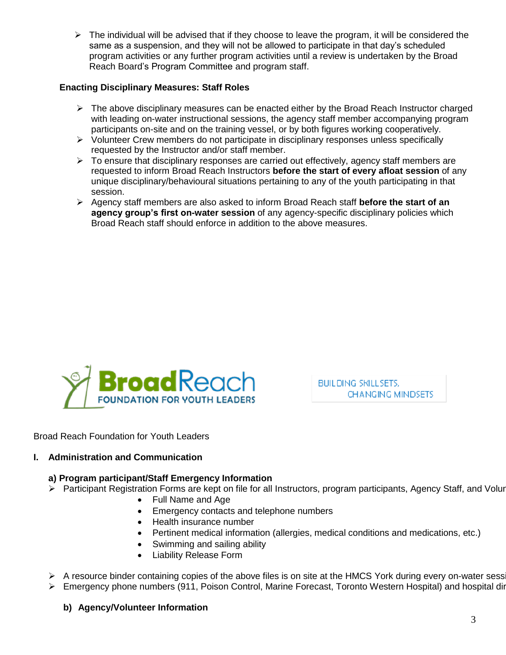$\triangleright$  The individual will be advised that if they choose to leave the program, it will be considered the same as a suspension, and they will not be allowed to participate in that day's scheduled program activities or any further program activities until a review is undertaken by the Broad Reach Board's Program Committee and program staff.

## **Enacting Disciplinary Measures: Staff Roles**

- $\triangleright$  The above disciplinary measures can be enacted either by the Broad Reach Instructor charged with leading on-water instructional sessions, the agency staff member accompanying program participants on-site and on the training vessel, or by both figures working cooperatively.
- $\triangleright$  Volunteer Crew members do not participate in disciplinary responses unless specifically requested by the Instructor and/or staff member.
- $\triangleright$  To ensure that disciplinary responses are carried out effectively, agency staff members are requested to inform Broad Reach Instructors **before the start of every afloat session** of any unique disciplinary/behavioural situations pertaining to any of the youth participating in that session.
- Agency staff members are also asked to inform Broad Reach staff **before the start of an agency group's first on-water session** of any agency-specific disciplinary policies which Broad Reach staff should enforce in addition to the above measures.



**BUILDING SKILLSETS, CHANGING MINDSETS** 

Broad Reach Foundation for Youth Leaders

#### **I. Administration and Communication**

### **a) Program participant/Staff Emergency Information**

- Participant Registration Forms are kept on file for all Instructors, program participants, Agency Staff, and Volunteer
	- Full Name and Age
	- **Emergency contacts and telephone numbers**
	- Health insurance number
	- Pertinent medical information (allergies, medical conditions and medications, etc.)
	- Swimming and sailing ability
	- Liability Release Form
- $\triangleright$  A resource binder containing copies of the above files is on site at the HMCS York during every on-water sess.
- $\triangleright$  Emergency phone numbers (911, Poison Control, Marine Forecast, Toronto Western Hospital) and hospital directions are also included in

**b) Agency/Volunteer Information**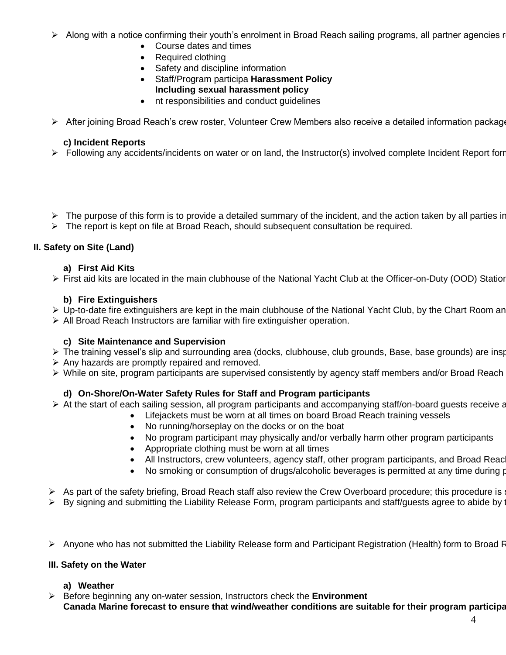- $\triangleright$  Along with a notice confirming their youth's enrolment in Broad Reach sailing programs, all partner agencies r
	- Course dates and times
	- Required clothing
	- Safety and discipline information
	- Staff/Program participa **Harassment Policy Including sexual harassment policy**
	- nt responsibilities and conduct guidelines
- $\triangleright$  After joining Broad Reach's crew roster, Volunteer Crew Members also receive a detailed information package

## **c) Incident Reports**

- $\triangleright$  Following any accidents/incidents on water or on land, the Instructor(s) involved complete Incident Report form
- $\triangleright$  The purpose of this form is to provide a detailed summary of the incident, and the action taken by all parties in
- $\triangleright$  The report is kept on file at Broad Reach, should subsequent consultation be required.

### **II. Safety on Site (Land)**

#### **a) First Aid Kits**

 $\triangleright$  First aid kits are located in the main clubhouse of the National Yacht Club at the Officer-on-Duty (OOD) Station

### **b) Fire Extinguishers**

- $\triangleright$  Up-to-date fire extinguishers are kept in the main clubhouse of the National Yacht Club, by the Chart Room an
- $\triangleright$  All Broad Reach Instructors are familiar with fire extinguisher operation.

#### **c) Site Maintenance and Supervision**

- $\triangleright$  The training vessel's slip and surrounding area (docks, clubhouse, club grounds, Base, base grounds) are insp
- $\triangleright$  Any hazards are promptly repaired and removed.
- $\triangleright$  While on site, program participants are supervised consistently by agency staff members and/or Broad Reach

## **d) On-Shore/On-Water Safety Rules for Staff and Program participants**

- $\triangleright$  At the start of each sailing session, all program participants and accompanying staff/on-board guests receive a
	- Lifejackets must be worn at all times on board Broad Reach training vessels
	- No running/horseplay on the docks or on the boat
	- No program participant may physically and/or verbally harm other program participants
	- Appropriate clothing must be worn at all times
	- All Instructors, crew volunteers, agency staff, other program participants, and Broad Reach
	- No smoking or consumption of drugs/alcoholic beverages is permitted at any time during program hours on shore and affloat and after and after and after and after and after and after and after and after and after and afte
- $\triangleright$  As part of the safety briefing, Broad Reach staff also review the Crew Overboard procedure; this procedure is
- > By signing and submitting the Liability Release Form, program participants and staff/guests agree to abide by
- $\triangleright$  Anyone who has not submitted the Liability Release form and Participant Registration (Health) form to Broad R

#### **III. Safety on the Water**

## **a) Weather**

 Before beginning any on-water session, Instructors check the **Environment** Canada Marine forecast to ensure that wind/weather conditions are suitable for their program participa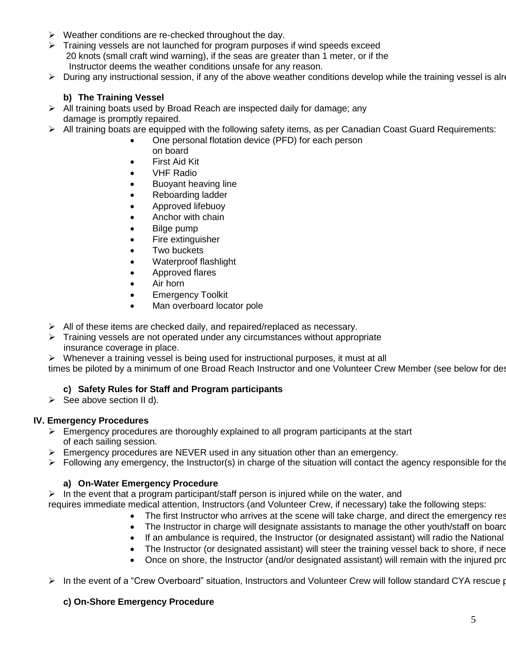- $\triangleright$  Weather conditions are re-checked throughout the day.
- $\triangleright$  Training vessels are not launched for program purposes if wind speeds exceed 20 knots (small craft wind warning), if the seas are greater than 1 meter, or if the Instructor deems the weather conditions unsafe for any reason.
- > During any instructional session, if any of the above weather conditions develop while the training vessel is alre

## **b) The Training Vessel**

- $\triangleright$  All training boats used by Broad Reach are inspected daily for damage; any damage is promptly repaired.
- All training boats are equipped with the following safety items, as per Canadian Coast Guard Requirements:
	- One personal flotation device (PFD) for each person on board
	- First Aid Kit
	- VHF Radio
	- Buoyant heaving line
	- Reboarding ladder
	- **•** Approved lifebuoy
	- Anchor with chain
	- Bilge pump
	- Fire extinguisher
	- Two buckets
	- Waterproof flashlight
	- Approved flares
	- Air horn
	- **•** Emergency Toolkit
	- Man overboard locator pole
- $\triangleright$  All of these items are checked daily, and repaired/replaced as necessary.
- $\triangleright$  Training vessels are not operated under any circumstances without appropriate insurance coverage in place.
- $\triangleright$  Whenever a training vessel is being used for instructional purposes, it must at all

times be piloted by a minimum of one Broad Reach Instructor and one Volunteer Crew Member (see below for des

## **c) Safety Rules for Staff and Program participants**

 $\triangleright$  See above section II d).

#### **IV. Emergency Procedures**

- $\triangleright$  Emergency procedures are thoroughly explained to all program participants at the start of each sailing session.
- $\triangleright$  Emergency procedures are NEVER used in any situation other than an emergency.
- > Following any emergency, the Instructor(s) in charge of the situation will contact the agency responsible for the

#### **a) On-Water Emergency Procedure**

 $\triangleright$  In the event that a program participant/staff person is injured while on the water, and

- requires immediate medical attention, Instructors (and Volunteer Crew, if necessary) take the following steps:
	- The first Instructor who arrives at the scene will take charge, and direct the emergency res
	- The Instructor in charge will designate assistants to manage the other youth/staff on board
	- If an ambulance is required, the Instructor (or designated assistant) will radio the National
	- The Instructor (or designated assistant) will steer the training vessel back to shore, if nece
	- Once on shore, the Instructor (and/or designated assistant) will remain with the injured program participant, and
- In the event of a "Crew Overboard" situation, Instructors and Volunteer Crew will follow standard CYA rescue procedures, as outlined in the CYA Basic Cruising Handbook, and administer follow-up first aid as necessary.

#### **c) On-Shore Emergency Procedure**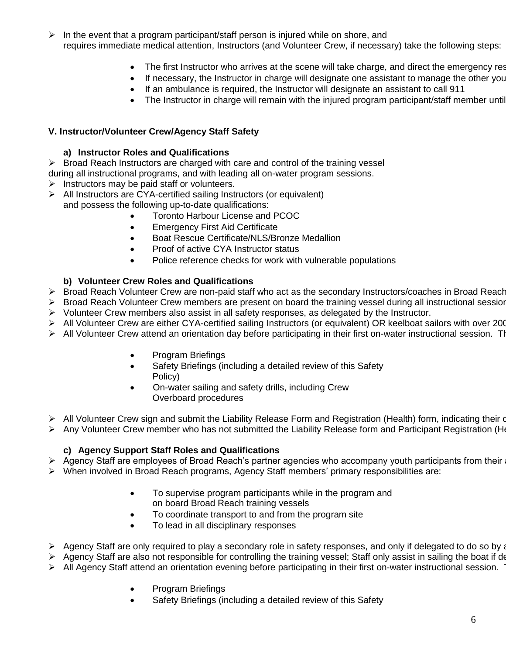- $\triangleright$  In the event that a program participant/staff person is injured while on shore, and requires immediate medical attention, Instructors (and Volunteer Crew, if necessary) take the following steps:
	- The first Instructor who arrives at the scene will take charge, and direct the emergency res
	- If necessary, the Instructor in charge will designate one assistant to manage the other you
	- If an ambulance is required, the Instructor will designate an assistant to call 911
	- The Instructor in charge will remain with the injured program participant/staff member until

# **V. Instructor/Volunteer Crew/Agency Staff Safety**

# **a) Instructor Roles and Qualifications**

 $\triangleright$  Broad Reach Instructors are charged with care and control of the training vessel

during all instructional programs, and with leading all on-water program sessions.

- $\triangleright$  Instructors may be paid staff or volunteers.
- $\triangleright$  All Instructors are CYA-certified sailing Instructors (or equivalent) and possess the following up-to-date qualifications:
	- Toronto Harbour License and PCOC
		- Emergency First Aid Certificate
		- Boat Rescue Certificate/NLS/Bronze Medallion
		- Proof of active CYA Instructor status
		- Police reference checks for work with vulnerable populations

# **b) Volunteer Crew Roles and Qualifications**

- $\triangleright$  Broad Reach Volunteer Crew are non-paid staff who act as the secondary Instructors/coaches in Broad Reach
- > Broad Reach Volunteer Crew members are present on board the training vessel during all instructional session
- $\triangleright$  Volunteer Crew members also assist in all safety responses, as delegated by the Instructor.
- > All Volunteer Crew are either CYA-certified sailing Instructors (or equivalent) OR keelboat sailors with over 200
- $\triangleright$  All Volunteer Crew attend an orientation day before participating in their first on-water instructional session. The
	- Program Briefings
	- Safety Briefings (including a detailed review of this Safety Policy)
	- On-water sailing and safety drills, including Crew Overboard procedures
- > All Volunteer Crew sign and submit the Liability Release Form and Registration (Health) form, indicating their o
- $\triangleright$  Any Volunteer Crew member who has not submitted the Liability Release form and Participant Registration (He

## **c) Agency Support Staff Roles and Qualifications**

 $\triangleright$  Agency Staff are employees of Broad Reach's partner agencies who accompany youth participants from their

- When involved in Broad Reach programs, Agency Staff members' primary responsibilities are:
	- To supervise program participants while in the program and on board Broad Reach training vessels
	- To coordinate transport to and from the program site
	- To lead in all disciplinary responses
- > Agency Staff are only required to play a secondary role in safety responses, and only if delegated to do so by a
- Agency Staff are also not responsible for controlling the training vessel; Staff only assist in sailing the boat if de
- $\triangleright$  All Agency Staff attend an orientation evening before participating in their first on-water instructional session.
	- Program Briefings
	- Safety Briefings (including a detailed review of this Safety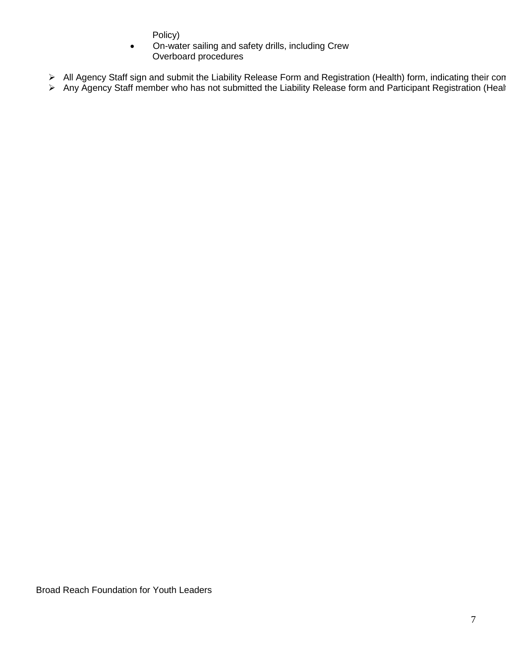Policy)

- On-water sailing and safety drills, including Crew Overboard procedures
- > All Agency Staff sign and submit the Liability Release Form and Registration (Health) form, indicating their con
- $\triangleright$  Any Agency Staff member who has not submitted the Liability Release form and Participant Registration (Healtied to participate in any Broad Reach programs).